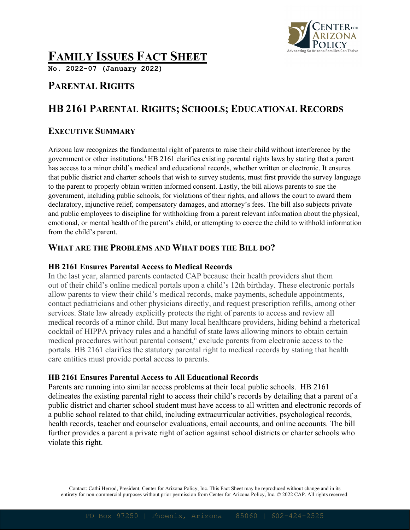

# **FAMILY ISSUES FACT SHEET**

**No. 2022-07 (January 2022)**

## **PARENTAL RIGHTS**

## **HB 2161 PARENTAL RIGHTS; SCHOOLS; EDUCATIONAL RECORDS**

## **EXECUTIVE SUMMARY**

Arizona law recognizes the fundamental right of parents to raise their child without interference by the government or other institutions. <sup>i</sup> HB 2161 clarifies existing parental rights laws by stating that a parent has access to a minor child's medical and educational records, whether written or electronic. It ensures that public district and charter schools that wish to survey students, must first provide the survey language to the parent to properly obtain written informed consent. Lastly, the bill allows parents to sue the government, including public schools, for violations of their rights, and allows the court to award them declaratory, injunctive relief, compensatory damages, and attorney's fees. The bill also subjects private and public employees to discipline for withholding from a parent relevant information about the physical, emotional, or mental health of the parent's child, or attempting to coerce the child to withhold information from the child's parent.

### **WHAT ARE THE PROBLEMS AND WHAT DOES THE BILL DO?**

#### **HB 2161 Ensures Parental Access to Medical Records**

In the last year, alarmed parents contacted CAP because their health providers shut them out of their child's online medical portals upon a child's 12th birthday. These electronic portals allow parents to view their child's medical records, make payments, schedule appointments, contact pediatricians and other physicians directly, and request prescription refills, among other services. State law already explicitly protects the right of parents to access and review all medical records of a minor child. But many local healthcare providers, hiding behind a rhetorical cocktail of HIPPA privacy rules and a handful of state laws allowing minors to obtain certain medical procedures without parental consent,<sup>ii</sup> exclude parents from electronic access to the portals. HB 2161 clarifies the statutory parental right to medical records by stating that health care entities must provide portal access to parents.

#### **HB 2161 Ensures Parental Access to All Educational Records**

Parents are running into similar access problems at their local public schools. HB 2161 delineates the existing parental right to access their child's records by detailing that a parent of a public district and charter school student must have access to all written and electronic records of a public school related to that child, including extracurricular activities, psychological records, health records, teacher and counselor evaluations, email accounts, and online accounts. The bill further provides a parent a private right of action against school districts or charter schools who violate this right.

Contact: Cathi Herrod, President, Center for Arizona Policy, Inc. This Fact Sheet may be reproduced without change and in its entirety for non-commercial purposes without prior permission from Center for Arizona Policy, Inc. © 2022 CAP. All rights reserved.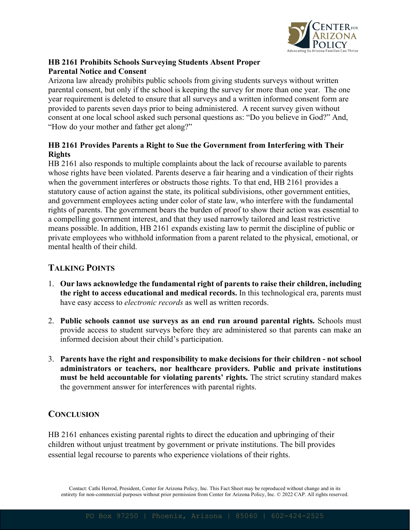

#### **HB 2161 Prohibits Schools Surveying Students Absent Proper Parental Notice and Consent**

Arizona law already prohibits public schools from giving students surveys without written parental consent, but only if the school is keeping the survey for more than one year. The one year requirement is deleted to ensure that all surveys and a written informed consent form are provided to parents seven days prior to being administered. A recent survey given without consent at one local school asked such personal questions as: "Do you believe in God?" And, "How do your mother and father get along?"

#### **HB 2161 Provides Parents a Right to Sue the Government from Interfering with Their Rights**

HB 2161 also responds to multiple complaints about the lack of recourse available to parents whose rights have been violated. Parents deserve a fair hearing and a vindication of their rights when the government interferes or obstructs those rights. To that end, HB 2161 provides a statutory cause of action against the state, its political subdivisions, other government entities, and government employees acting under color of state law, who interfere with the fundamental rights of parents. The government bears the burden of proof to show their action was essential to a compelling government interest, and that they used narrowly tailored and least restrictive means possible. In addition, HB 2161 expands existing law to permit the discipline of public or private employees who withhold information from a parent related to the physical, emotional, or mental health of their child.

## **TALKING POINTS**

- 1. **Our laws acknowledge the fundamental right of parents to raise their children, including the right to access educational and medical records.** In this technological era, parents must have easy access to *electronic records* as well as written records.
- 2. **Public schools cannot use surveys as an end run around parental rights.** Schools must provide access to student surveys before they are administered so that parents can make an informed decision about their child's participation.
- 3. **Parents have the right and responsibility to make decisions for their children - not school administrators or teachers, nor healthcare providers. Public and private institutions must be held accountable for violating parents' rights.** The strict scrutiny standard makes the government answer for interferences with parental rights.

### **CONCLUSION**

HB 2161 enhances existing parental rights to direct the education and upbringing of their children without unjust treatment by government or private institutions. The bill provides essential legal recourse to parents who experience violations of their rights.

Contact: Cathi Herrod, President, Center for Arizona Policy, Inc. This Fact Sheet may be reproduced without change and in its entirety for non-commercial purposes without prior permission from Center for Arizona Policy, Inc. © 2022 CAP. All rights reserved.